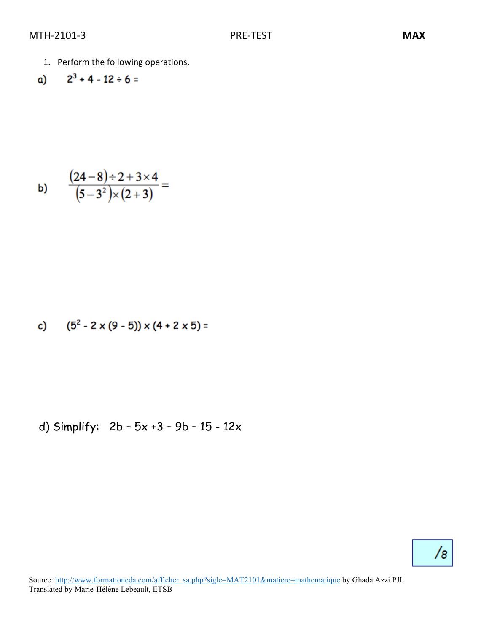1. Perform the following operations.

a) 
$$
2^3 + 4 - 12 \div 6 =
$$

b) 
$$
\frac{(24-8)\div 2 + 3 \times 4}{(5-3^2)\times (2+3)} =
$$

c) 
$$
(5^2 - 2 \times (9 - 5)) \times (4 + 2 \times 5) =
$$

d) Simplify: 
$$
2b - 5x + 3 - 9b - 15 - 12x
$$

# $/8$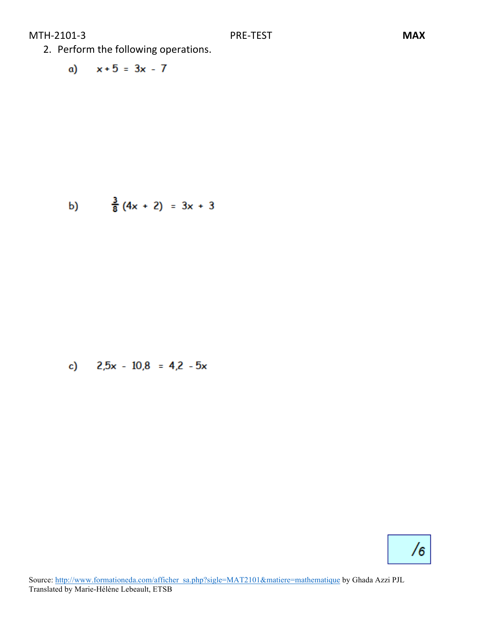- 2. Perform the following operations.
	- a)  $x+5 = 3x 7$

b) 
$$
\frac{3}{8}(4x + 2) = 3x + 3
$$

c) 
$$
2.5x - 10.8 = 4.2 - 5x
$$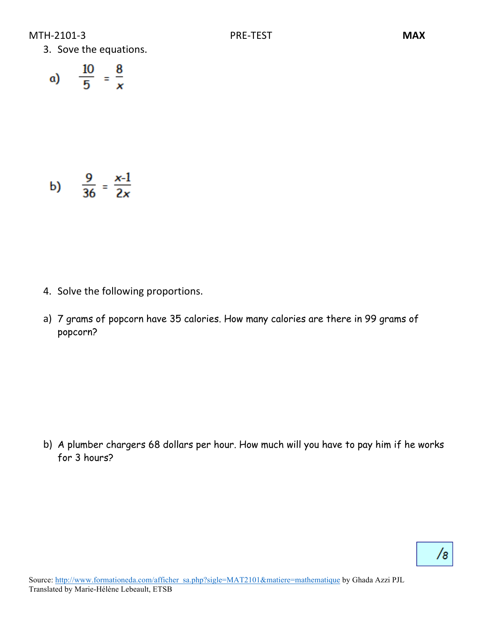3. Sove the equations.

$$
a) \qquad \frac{10}{5} = \frac{8}{x}
$$

b) 
$$
\frac{9}{36} = \frac{x-1}{2x}
$$

- 4. Solve the following proportions.
- a) 7 grams of popcorn have 35 calories. How many calories are there in 99 grams of popcorn?

b) A plumber chargers 68 dollars per hour. How much will you have to pay him if he works for 3 hours?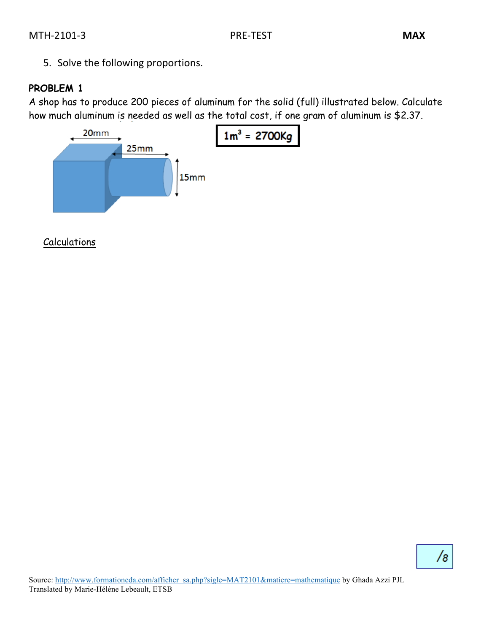5. Solve the following proportions.

#### **PROBLEM 1**

A shop has to produce 200 pieces of aluminum for the solid (full) illustrated below. Calculate how much aluminum is needed as well as the total cost, if one gram of aluminum is \$2.37.



Calculations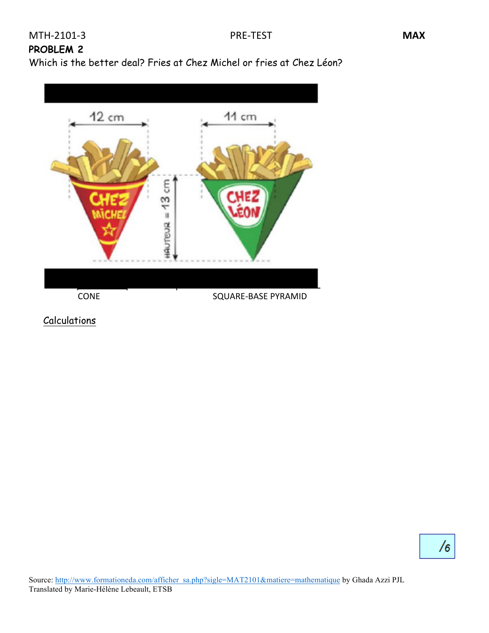## **PROBLEM 2**

Which is the better deal? Fries at Chez Michel or fries at Chez Léon?



**Calculations**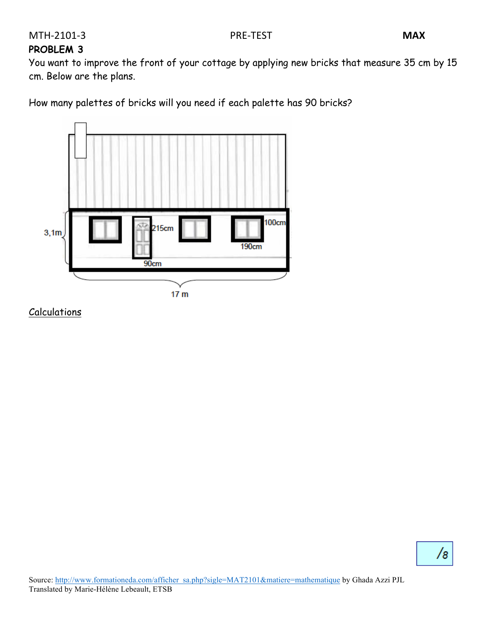#### **PROBLEM 3**

You want to improve the front of your cottage by applying new bricks that measure 35 cm by 15 cm. Below are the plans.

How many palettes of bricks will you need if each palette has 90 bricks?



Calculations

 $\sqrt{8}$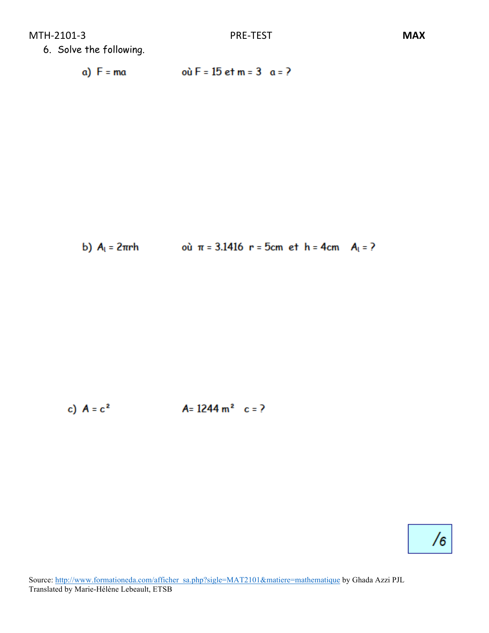6. Solve the following.

où  $F = 15$  et m = 3 a = ? a)  $F = ma$ 

b) 
$$
A_1 = 2\pi rh
$$
 où  $\pi = 3.1416$  r = 5cm et h = 4cm  $A_1 = ?$ 

c)  $A = c^2$  $A = 1244 \text{ m}^2 \text{ c} = ?$ 

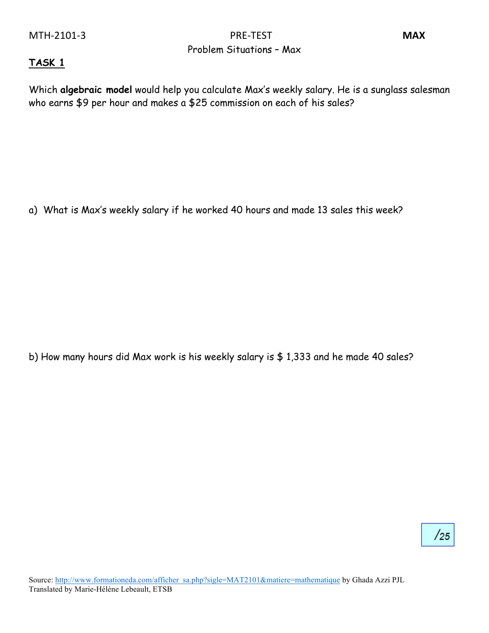MTH-2101-3 MAX Problem Situations – Max

#### **TASK 1**

Which **algebraic model** would help you calculate Max's weekly salary. He is a sunglass salesman who earns \$9 per hour and makes a \$25 commission on each of his sales?

a) What is Max's weekly salary if he worked 40 hours and made 13 sales this week?

b) How many hours did Max work is his weekly salary is \$ 1,333 and he made 40 sales?

 $/25$